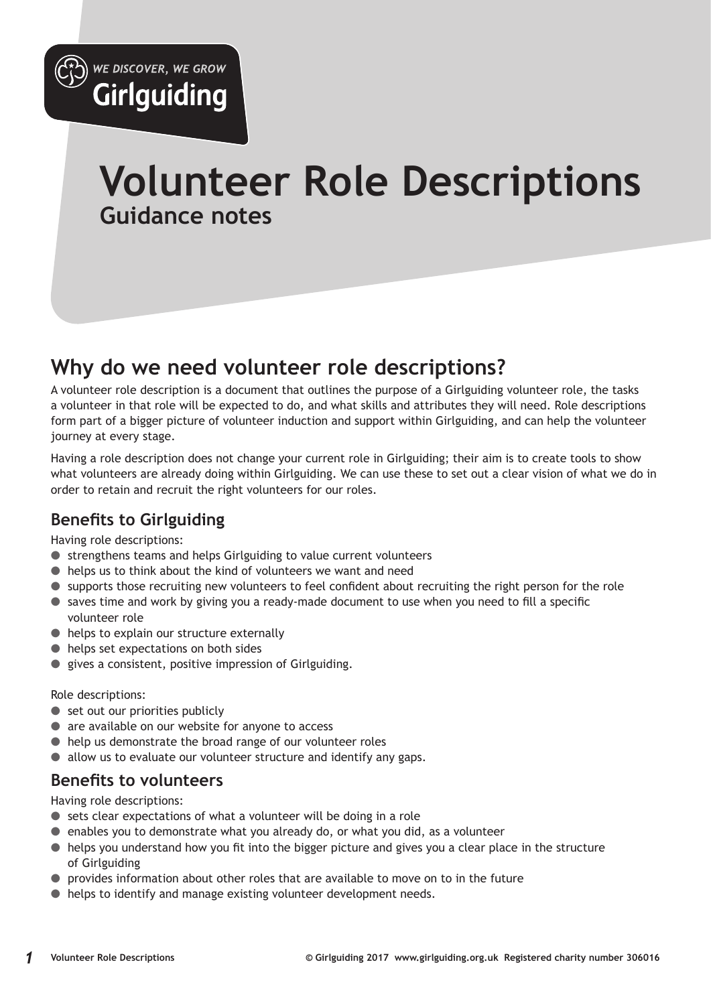

# **Volunteer Role Descriptions Guidance notes**

## **Why do we need volunteer role descriptions?**

A volunteer role description is a document that outlines the purpose of a Girlguiding volunteer role, the tasks a volunteer in that role will be expected to do, and what skills and attributes they will need. Role descriptions form part of a bigger picture of volunteer induction and support within Girlguiding, and can help the volunteer journey at every stage.

Having a role description does not change your current role in Girlguiding; their aim is to create tools to show what volunteers are already doing within Girlguiding. We can use these to set out a clear vision of what we do in order to retain and recruit the right volunteers for our roles.

### **Benefits to Girlguiding**

Having role descriptions:

- strengthens teams and helps Girlguiding to value current volunteers
- helps us to think about the kind of volunteers we want and need
- supports those recruiting new volunteers to feel confident about recruiting the right person for the role
- saves time and work by giving you a ready-made document to use when you need to fill a specific volunteer role
- helps to explain our structure externally
- helps set expectations on both sides
- gives a consistent, positive impression of Girlguiding.

Role descriptions:

- set out our priorities publicly
- are available on our website for anyone to access
- help us demonstrate the broad range of our volunteer roles
- allow us to evaluate our volunteer structure and identify any gaps.

### **Benefits to volunteers**

Having role descriptions:

- sets clear expectations of what a volunteer will be doing in a role
- $\bullet$  enables you to demonstrate what you already do, or what you did, as a volunteer
- helps you understand how you fit into the bigger picture and gives you a clear place in the structure of Girlguiding
- provides information about other roles that are available to move on to in the future
- helps to identify and manage existing volunteer development needs.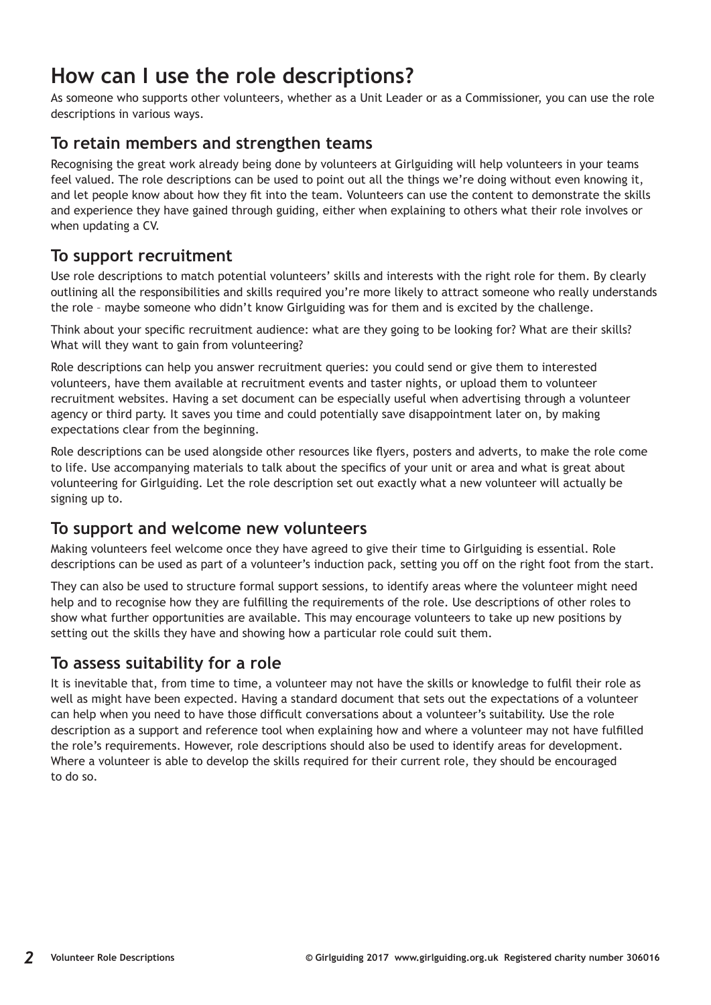## **How can I use the role descriptions?**

As someone who supports other volunteers, whether as a Unit Leader or as a Commissioner, you can use the role descriptions in various ways.

### **To retain members and strengthen teams**

Recognising the great work already being done by volunteers at Girlguiding will help volunteers in your teams feel valued. The role descriptions can be used to point out all the things we're doing without even knowing it, and let people know about how they fit into the team. Volunteers can use the content to demonstrate the skills and experience they have gained through guiding, either when explaining to others what their role involves or when updating a CV.

### **To support recruitment**

Use role descriptions to match potential volunteers' skills and interests with the right role for them. By clearly outlining all the responsibilities and skills required you're more likely to attract someone who really understands the role – maybe someone who didn't know Girlguiding was for them and is excited by the challenge.

Think about your specific recruitment audience: what are they going to be looking for? What are their skills? What will they want to gain from volunteering?

Role descriptions can help you answer recruitment queries: you could send or give them to interested volunteers, have them available at recruitment events and taster nights, or upload them to volunteer recruitment websites. Having a set document can be especially useful when advertising through a volunteer agency or third party. It saves you time and could potentially save disappointment later on, by making expectations clear from the beginning.

Role descriptions can be used alongside other resources like flyers, posters and adverts, to make the role come to life. Use accompanying materials to talk about the specifics of your unit or area and what is great about volunteering for Girlguiding. Let the role description set out exactly what a new volunteer will actually be signing up to.

### **To support and welcome new volunteers**

Making volunteers feel welcome once they have agreed to give their time to Girlguiding is essential. Role descriptions can be used as part of a volunteer's induction pack, setting you off on the right foot from the start.

They can also be used to structure formal support sessions, to identify areas where the volunteer might need help and to recognise how they are fulfilling the requirements of the role. Use descriptions of other roles to show what further opportunities are available. This may encourage volunteers to take up new positions by setting out the skills they have and showing how a particular role could suit them.

### **To assess suitability for a role**

It is inevitable that, from time to time, a volunteer may not have the skills or knowledge to fulfil their role as well as might have been expected. Having a standard document that sets out the expectations of a volunteer can help when you need to have those difficult conversations about a volunteer's suitability. Use the role description as a support and reference tool when explaining how and where a volunteer may not have fulfilled the role's requirements. However, role descriptions should also be used to identify areas for development. Where a volunteer is able to develop the skills required for their current role, they should be encouraged to do so.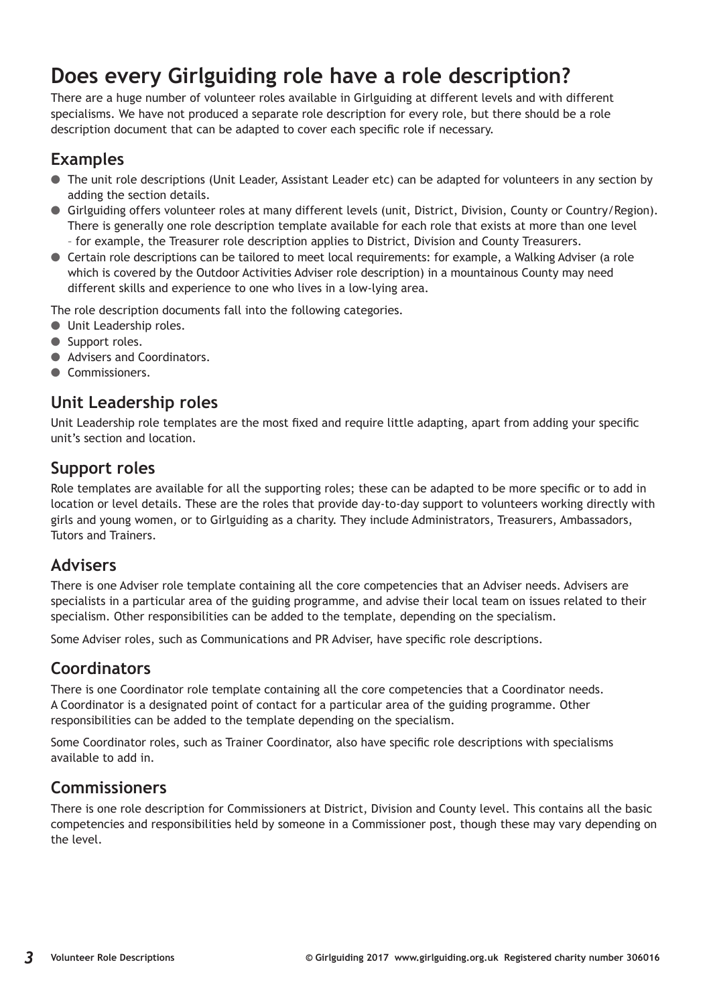## **Does every Girlguiding role have a role description?**

There are a huge number of volunteer roles available in Girlguiding at different levels and with different specialisms. We have not produced a separate role description for every role, but there should be a role description document that can be adapted to cover each specific role if necessary.

### **Examples**

- The unit role descriptions (Unit Leader, Assistant Leader etc) can be adapted for volunteers in any section by adding the section details.
- Girlguiding offers volunteer roles at many different levels (unit, District, Division, County or Country/Region). There is generally one role description template available for each role that exists at more than one level
	- for example, the Treasurer role description applies to District, Division and County Treasurers.
- Certain role descriptions can be tailored to meet local requirements: for example, a Walking Adviser (a role which is covered by the Outdoor Activities Adviser role description) in a mountainous County may need different skills and experience to one who lives in a low-lying area.

The role description documents fall into the following categories.

- Unit Leadership roles.
- Support roles.
- Advisers and Coordinators.
- Commissioners.

### **Unit Leadership roles**

Unit Leadership role templates are the most fixed and require little adapting, apart from adding your specific unit's section and location.

### **Support roles**

Role templates are available for all the supporting roles; these can be adapted to be more specific or to add in location or level details. These are the roles that provide day-to-day support to volunteers working directly with girls and young women, or to Girlguiding as a charity. They include Administrators, Treasurers, Ambassadors, Tutors and Trainers.

### **Advisers**

There is one Adviser role template containing all the core competencies that an Adviser needs. Advisers are specialists in a particular area of the guiding programme, and advise their local team on issues related to their specialism. Other responsibilities can be added to the template, depending on the specialism.

Some Adviser roles, such as Communications and PR Adviser, have specific role descriptions.

### **Coordinators**

There is one Coordinator role template containing all the core competencies that a Coordinator needs. A Coordinator is a designated point of contact for a particular area of the guiding programme. Other responsibilities can be added to the template depending on the specialism.

Some Coordinator roles, such as Trainer Coordinator, also have specific role descriptions with specialisms available to add in.

### **Commissioners**

There is one role description for Commissioners at District, Division and County level. This contains all the basic competencies and responsibilities held by someone in a Commissioner post, though these may vary depending on the level.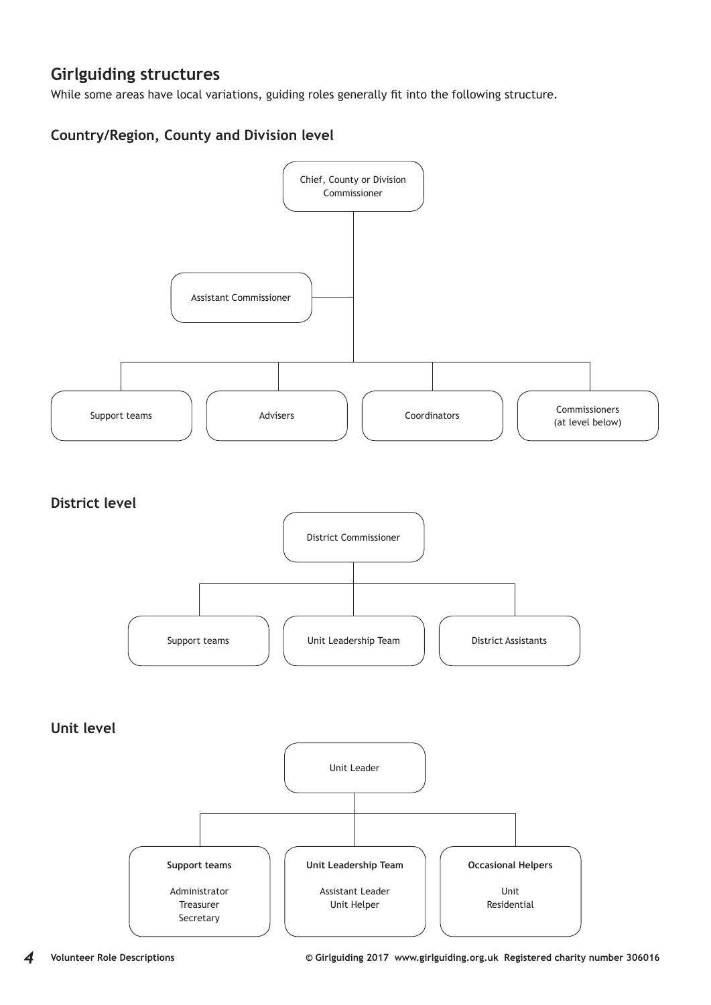### **Girlguiding structures**

While some areas have local variations, guiding roles generally fit into the following structure.

### **Country/Region, County and Division level**

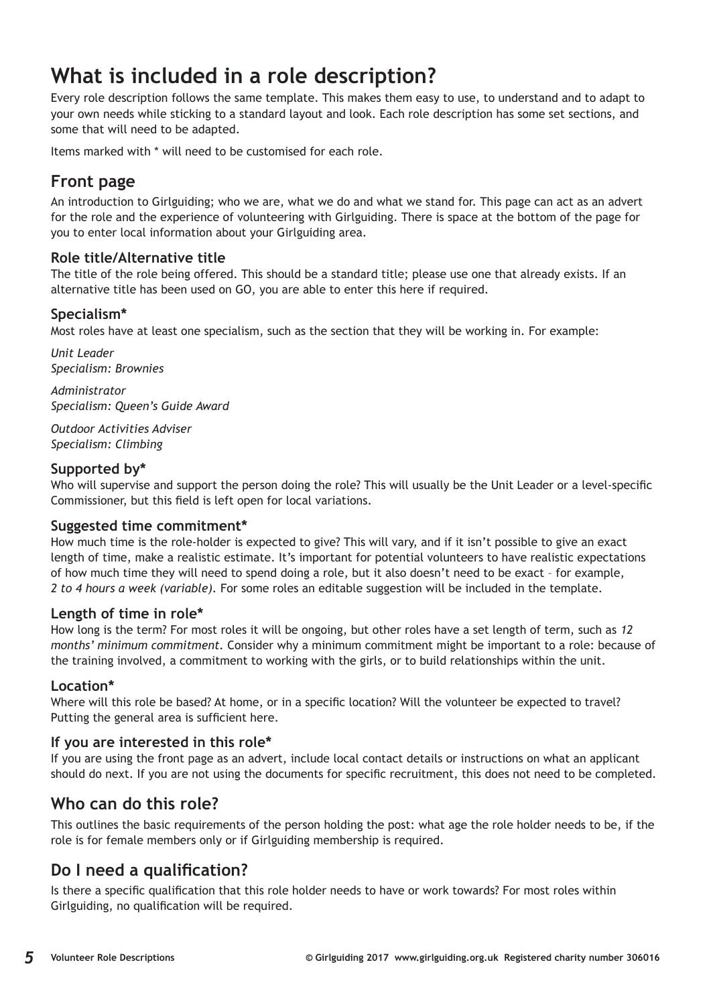## **What is included in a role description?**

Every role description follows the same template. This makes them easy to use, to understand and to adapt to your own needs while sticking to a standard layout and look. Each role description has some set sections, and some that will need to be adapted.

Items marked with \* will need to be customised for each role.

### **Front page**

An introduction to Girlguiding; who we are, what we do and what we stand for. This page can act as an advert for the role and the experience of volunteering with Girlguiding. There is space at the bottom of the page for you to enter local information about your Girlguiding area.

#### **Role title/Alternative title**

The title of the role being offered. This should be a standard title; please use one that already exists. If an alternative title has been used on GO, you are able to enter this here if required.

#### **Specialism\***

Most roles have at least one specialism, such as the section that they will be working in. For example:

*Unit Leader Specialism: Brownies*

*Administrator Specialism: Queen's Guide Award*

*Outdoor Activities Adviser Specialism: Climbing*

#### **Supported by\***

Who will supervise and support the person doing the role? This will usually be the Unit Leader or a level-specific Commissioner, but this field is left open for local variations.

#### **Suggested time commitment\***

How much time is the role-holder is expected to give? This will vary, and if it isn't possible to give an exact length of time, make a realistic estimate. It's important for potential volunteers to have realistic expectations of how much time they will need to spend doing a role, but it also doesn't need to be exact – for example, *2 to 4 hours a week (variable).* For some roles an editable suggestion will be included in the template.

#### **Length of time in role\***

How long is the term? For most roles it will be ongoing, but other roles have a set length of term, such as *12 months' minimum commitment.* Consider why a minimum commitment might be important to a role: because of the training involved, a commitment to working with the girls, or to build relationships within the unit.

#### **Location\***

Where will this role be based? At home, or in a specific location? Will the volunteer be expected to travel? Putting the general area is sufficient here.

#### **If you are interested in this role\***

If you are using the front page as an advert, include local contact details or instructions on what an applicant should do next. If you are not using the documents for specific recruitment, this does not need to be completed.

### **Who can do this role?**

This outlines the basic requirements of the person holding the post: what age the role holder needs to be, if the role is for female members only or if Girlguiding membership is required.

### **Do I need a qualification?**

Is there a specific qualification that this role holder needs to have or work towards? For most roles within Girlguiding, no qualification will be required.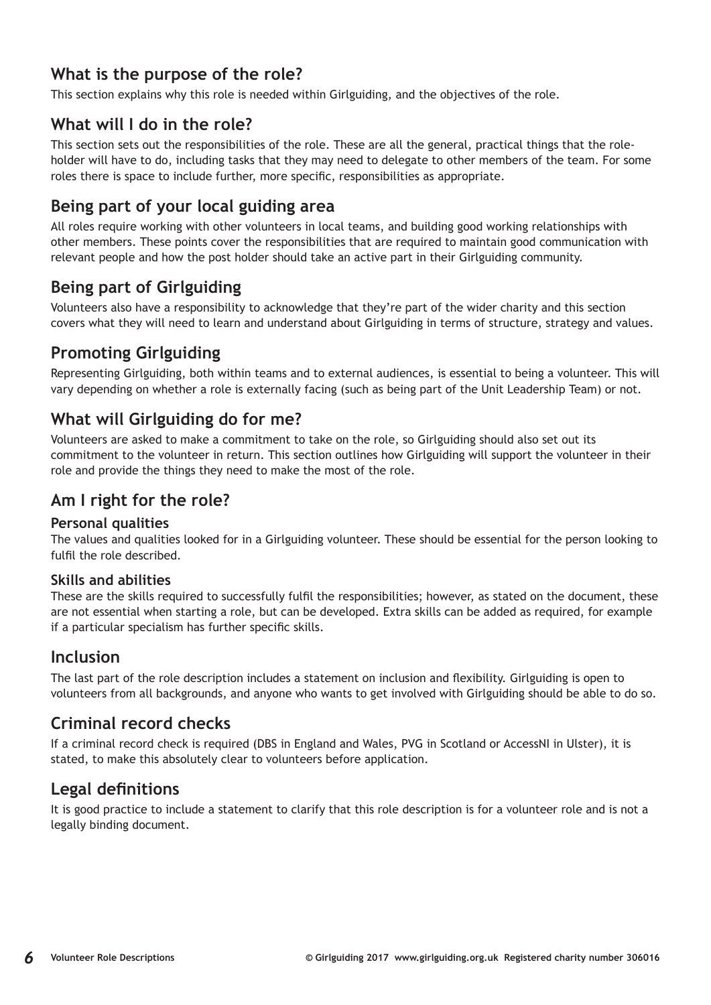### **What is the purpose of the role?**

This section explains why this role is needed within Girlguiding, and the objectives of the role.

### **What will I do in the role?**

This section sets out the responsibilities of the role. These are all the general, practical things that the roleholder will have to do, including tasks that they may need to delegate to other members of the team. For some roles there is space to include further, more specific, responsibilities as appropriate.

### **Being part of your local guiding area**

All roles require working with other volunteers in local teams, and building good working relationships with other members. These points cover the responsibilities that are required to maintain good communication with relevant people and how the post holder should take an active part in their Girlguiding community.

### **Being part of Girlguiding**

Volunteers also have a responsibility to acknowledge that they're part of the wider charity and this section covers what they will need to learn and understand about Girlguiding in terms of structure, strategy and values.

### **Promoting Girlguiding**

Representing Girlguiding, both within teams and to external audiences, is essential to being a volunteer. This will vary depending on whether a role is externally facing (such as being part of the Unit Leadership Team) or not.

### **What will Girlguiding do for me?**

Volunteers are asked to make a commitment to take on the role, so Girlguiding should also set out its commitment to the volunteer in return. This section outlines how Girlguiding will support the volunteer in their role and provide the things they need to make the most of the role.

### **Am I right for the role?**

#### **Personal qualities**

The values and qualities looked for in a Girlguiding volunteer. These should be essential for the person looking to fulfil the role described.

#### **Skills and abilities**

These are the skills required to successfully fulfil the responsibilities; however, as stated on the document, these are not essential when starting a role, but can be developed. Extra skills can be added as required, for example if a particular specialism has further specific skills.

### **Inclusion**

The last part of the role description includes a statement on inclusion and flexibility. Girlguiding is open to volunteers from all backgrounds, and anyone who wants to get involved with Girlguiding should be able to do so.

### **Criminal record checks**

If a criminal record check is required (DBS in England and Wales, PVG in Scotland or AccessNI in Ulster), it is stated, to make this absolutely clear to volunteers before application.

### **Legal definitions**

It is good practice to include a statement to clarify that this role description is for a volunteer role and is not a legally binding document.